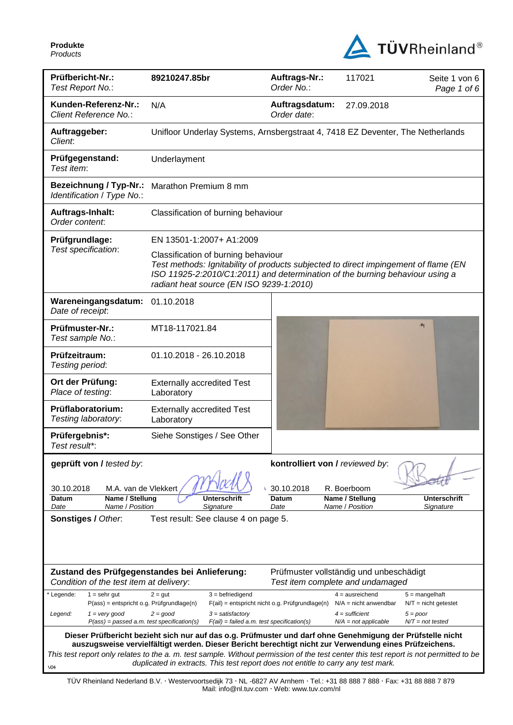**Produkte**  *Products* 



| Prüfbericht-Nr.:<br>Test Report No.:                                              | 89210247.85br                                                                                                                                                                                                                                          | Auftrags-Nr.:<br>Order No.:                      | 117021                                                                      | Seite 1 von 6<br>Page 1 of 6               |  |
|-----------------------------------------------------------------------------------|--------------------------------------------------------------------------------------------------------------------------------------------------------------------------------------------------------------------------------------------------------|--------------------------------------------------|-----------------------------------------------------------------------------|--------------------------------------------|--|
| Kunden-Referenz-Nr.:<br>Client Reference No.:                                     | N/A                                                                                                                                                                                                                                                    | Auftragsdatum:<br>Order date:                    | 27.09.2018                                                                  |                                            |  |
| Auftraggeber:<br>Client:                                                          | Unifloor Underlay Systems, Arnsbergstraat 4, 7418 EZ Deventer, The Netherlands                                                                                                                                                                         |                                                  |                                                                             |                                            |  |
| Prüfgegenstand:<br>Test item:                                                     | Underlayment                                                                                                                                                                                                                                           |                                                  |                                                                             |                                            |  |
| <b>Bezeichnung / Typ-Nr.:</b><br>Identification / Type No.:                       | Marathon Premium 8 mm                                                                                                                                                                                                                                  |                                                  |                                                                             |                                            |  |
| Auftrags-Inhalt:<br>Order content:                                                | Classification of burning behaviour                                                                                                                                                                                                                    |                                                  |                                                                             |                                            |  |
| Prüfgrundlage:                                                                    | EN 13501-1:2007+ A1:2009                                                                                                                                                                                                                               |                                                  |                                                                             |                                            |  |
| Test specification:                                                               | Classification of burning behaviour<br>Test methods: Ignitability of products subjected to direct impingement of flame (EN<br>ISO 11925-2:2010/C1:2011) and determination of the burning behaviour using a<br>radiant heat source (EN ISO 9239-1:2010) |                                                  |                                                                             |                                            |  |
| Wareneingangsdatum:<br>Date of receipt:                                           | 01.10.2018                                                                                                                                                                                                                                             |                                                  |                                                                             |                                            |  |
| Prüfmuster-Nr.:<br>Test sample No.:                                               | MT18-117021.84                                                                                                                                                                                                                                         |                                                  |                                                                             | .84                                        |  |
| Prüfzeitraum:<br>Testing period:                                                  | 01.10.2018 - 26.10.2018                                                                                                                                                                                                                                |                                                  |                                                                             |                                            |  |
| Ort der Prüfung:<br>Place of testing:                                             | <b>Externally accredited Test</b><br>Laboratory                                                                                                                                                                                                        |                                                  |                                                                             |                                            |  |
| Prüflaboratorium:<br>Testing laboratory:                                          | <b>Externally accredited Test</b><br>Laboratory                                                                                                                                                                                                        |                                                  |                                                                             |                                            |  |
| Prüfergebnis*:<br>Test result*:                                                   | Siehe Sonstiges / See Other                                                                                                                                                                                                                            |                                                  |                                                                             |                                            |  |
| geprüft von / tested by:                                                          |                                                                                                                                                                                                                                                        | kontrolliert von / reviewed by:                  |                                                                             |                                            |  |
| 30.10.2018<br>M.A. van de Vlekkert                                                |                                                                                                                                                                                                                                                        | 30.10.2018                                       | R. Boerboom                                                                 |                                            |  |
| Name / Stellung<br>Datum<br>Name / Position<br>Date                               | Unterschrift<br>Signature                                                                                                                                                                                                                              | Datum<br>Date                                    | Name / Stellung<br>Name / Position                                          | <b>Unterschrift</b><br>Signature           |  |
| Sonstiges / Other.                                                                | Test result: See clause 4 on page 5.                                                                                                                                                                                                                   |                                                  |                                                                             |                                            |  |
|                                                                                   |                                                                                                                                                                                                                                                        |                                                  |                                                                             |                                            |  |
|                                                                                   |                                                                                                                                                                                                                                                        |                                                  |                                                                             |                                            |  |
|                                                                                   | Zustand des Prüfgegenstandes bei Anlieferung:                                                                                                                                                                                                          |                                                  |                                                                             |                                            |  |
| Condition of the test item at delivery:                                           |                                                                                                                                                                                                                                                        |                                                  | Prüfmuster vollständig und unbeschädigt<br>Test item complete and undamaged |                                            |  |
| $1 =$ sehr gut<br>Legende:<br>P(ass) = entspricht o.g. Prüfgrundlage(n)           | $3 = \text{before}$<br>$2 = gut$                                                                                                                                                                                                                       | $F(ai)$ = entspricht nicht o.g. Prüfgrundlage(n) | $4 =$ ausreichend<br>$N/A$ = nicht anwendbar                                | $5 =$ mangelhaft<br>$N/T =$ nicht getestet |  |
| Legend:<br>$1 = \text{very good}$<br>$P(ass) = passed a.m. test specification(s)$ | $2 = good$<br>$3 = satisfactory$<br>$F(ai) = failed a.m. test specification(s)$                                                                                                                                                                        |                                                  | $4 =$ sufficient<br>$N/A = not$ applicable                                  | $5 = poor$<br>$N/T = not tested$           |  |
|                                                                                   | Dieser Prüfbericht bezieht sich nur auf das o.g. Prüfmuster und darf ohne Genehmigung der Prüfstelle nicht                                                                                                                                             |                                                  |                                                                             |                                            |  |
|                                                                                   | auszugsweise vervielfältigt werden. Dieser Bericht berechtigt nicht zur Verwendung eines Prüfzeichens.<br>This test report only relates to the a. m. test sample. Without permission of the test center this test report is not permitted to be        |                                                  |                                                                             |                                            |  |
| V <sub>04</sub>                                                                   | duplicated in extracts. This test report does not entitle to carry any test mark.                                                                                                                                                                      |                                                  |                                                                             |                                            |  |

TÜV Rheinland Nederland B.V. Westervoortsedijk 73 NL -6827 AV Arnhem Tel.: +31 88 888 7 888 Fax: +31 88 888 7 879 Mail: info@nl.tuv.com · Web: www.tuv.com/nl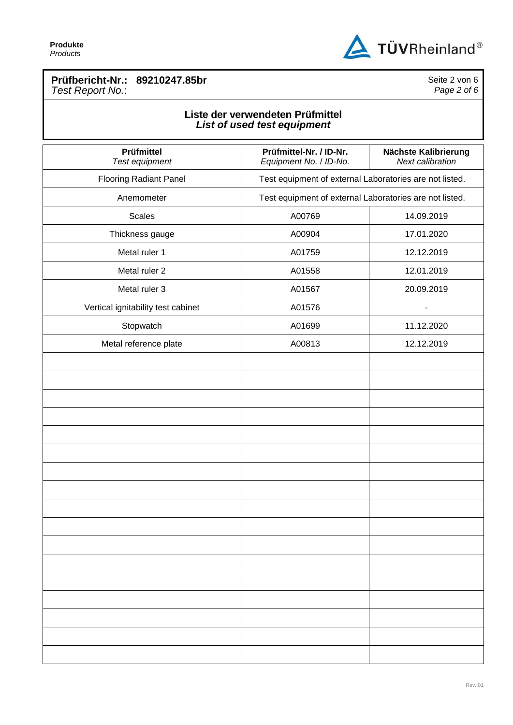

### **Prüfbericht-Nr.: 89210247.85br** *Test Report No.*:

Seite 2 von 6 *Page 2 of 6*

# **Liste der verwendeten Prüfmittel** *List of used test equipment*

| Prüfmittel<br>Test equipment       | Prüfmittel-Nr. / ID-Nr.<br>Equipment No. / ID-No.       | Nächste Kalibrierung<br>Next calibration |  |
|------------------------------------|---------------------------------------------------------|------------------------------------------|--|
| <b>Flooring Radiant Panel</b>      | Test equipment of external Laboratories are not listed. |                                          |  |
| Anemometer                         | Test equipment of external Laboratories are not listed. |                                          |  |
| <b>Scales</b>                      | A00769                                                  | 14.09.2019                               |  |
| Thickness gauge                    | A00904                                                  | 17.01.2020                               |  |
| Metal ruler 1                      | A01759                                                  | 12.12.2019                               |  |
| Metal ruler 2                      | A01558                                                  | 12.01.2019                               |  |
| Metal ruler 3                      | A01567                                                  | 20.09.2019                               |  |
| Vertical ignitability test cabinet | A01576                                                  | $\blacksquare$                           |  |
| Stopwatch                          | A01699                                                  | 11.12.2020                               |  |
| Metal reference plate              | A00813                                                  | 12.12.2019                               |  |
|                                    |                                                         |                                          |  |
|                                    |                                                         |                                          |  |
|                                    |                                                         |                                          |  |
|                                    |                                                         |                                          |  |
|                                    |                                                         |                                          |  |
|                                    |                                                         |                                          |  |
|                                    |                                                         |                                          |  |
|                                    |                                                         |                                          |  |
|                                    |                                                         |                                          |  |
|                                    |                                                         |                                          |  |
|                                    |                                                         |                                          |  |
|                                    |                                                         |                                          |  |
|                                    |                                                         |                                          |  |
|                                    |                                                         |                                          |  |
|                                    |                                                         |                                          |  |
|                                    |                                                         |                                          |  |
|                                    |                                                         |                                          |  |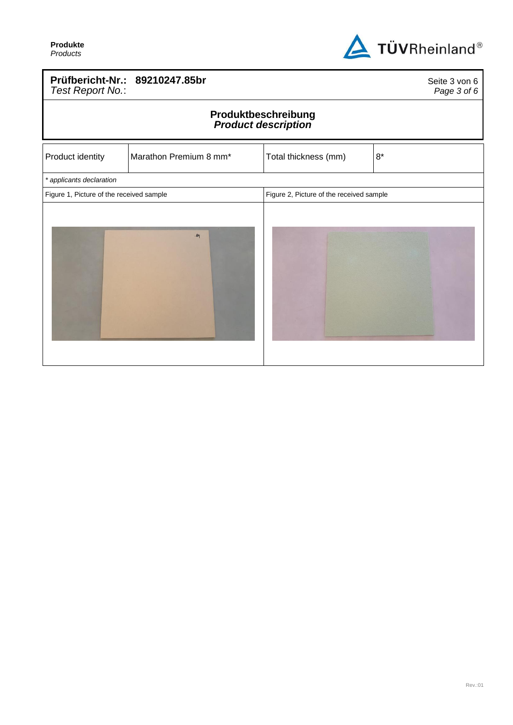

# **Prüfbericht-Nr.: 89210247.85br** *Test Report No.*:

Seite 3 von 6 *Page 3 of 6*

#### **Produktbeschreibung** *Product description*

| Product identity                         | Marathon Premium 8 mm* | Total thickness (mm)                     | $8^{\star}$ |
|------------------------------------------|------------------------|------------------------------------------|-------------|
| * applicants declaration                 |                        |                                          |             |
| Figure 1, Picture of the received sample |                        | Figure 2, Picture of the received sample |             |
|                                          | .84                    |                                          |             |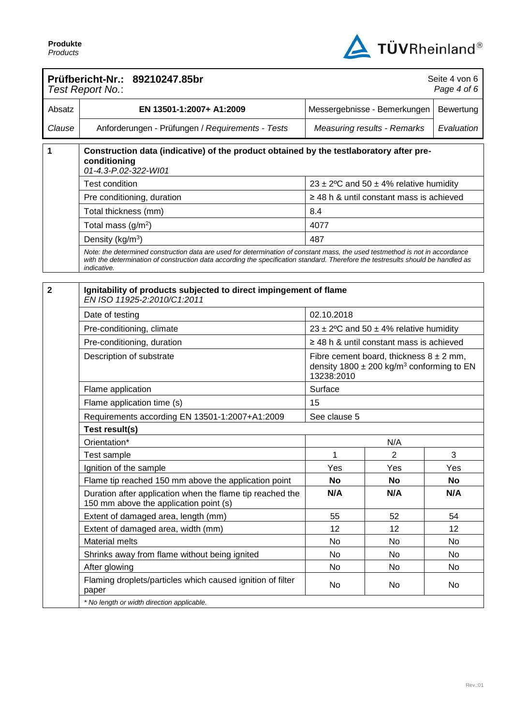

|                                    | Prüfbericht-Nr.: 89210247.85br<br>Test Report No.:                                                                                                                                                                                                                              |                                                                                                                        |                                               | Seite 4 von 6<br>Page 4 of 6 |
|------------------------------------|---------------------------------------------------------------------------------------------------------------------------------------------------------------------------------------------------------------------------------------------------------------------------------|------------------------------------------------------------------------------------------------------------------------|-----------------------------------------------|------------------------------|
| Absatz                             | EN 13501-1:2007+ A1:2009                                                                                                                                                                                                                                                        | Messergebnisse - Bemerkungen<br>Bewertung                                                                              |                                               |                              |
| Clause                             | Anforderungen - Prüfungen / Requirements - Tests                                                                                                                                                                                                                                | Evaluation<br><b>Measuring results - Remarks</b>                                                                       |                                               |                              |
| 1                                  | Construction data (indicative) of the product obtained by the testlaboratory after pre-<br>conditioning<br>01-4.3-P.02-322-WI01                                                                                                                                                 |                                                                                                                        |                                               |                              |
|                                    | <b>Test condition</b>                                                                                                                                                                                                                                                           |                                                                                                                        | 23 ± 2°C and 50 ± 4% relative humidity        |                              |
|                                    | Pre conditioning, duration                                                                                                                                                                                                                                                      |                                                                                                                        | $\geq$ 48 h & until constant mass is achieved |                              |
|                                    | Total thickness (mm)                                                                                                                                                                                                                                                            | 8.4                                                                                                                    |                                               |                              |
|                                    | Total mass $(g/m2)$                                                                                                                                                                                                                                                             | 4077                                                                                                                   |                                               |                              |
|                                    | Density (kg/m <sup>3</sup> )                                                                                                                                                                                                                                                    | 487                                                                                                                    |                                               |                              |
|                                    | Note: the determined construction data are used for determination of constant mass, the used testmethod is not in accordance<br>with the determination of construction data according the specification standard. Therefore the testresults should be handled as<br>indicative. |                                                                                                                        |                                               |                              |
| $\overline{\mathbf{2}}$            | Ignitability of products subjected to direct impingement of flame<br>EN ISO 11925-2:2010/C1:2011                                                                                                                                                                                |                                                                                                                        |                                               |                              |
|                                    | Date of testing                                                                                                                                                                                                                                                                 | 02.10.2018                                                                                                             |                                               |                              |
|                                    | Pre-conditioning, climate                                                                                                                                                                                                                                                       |                                                                                                                        | 23 ± 2°C and 50 ± 4% relative humidity        |                              |
|                                    | Pre-conditioning, duration                                                                                                                                                                                                                                                      | $\geq$ 48 h & until constant mass is achieved                                                                          |                                               |                              |
|                                    | Description of substrate                                                                                                                                                                                                                                                        | Fibre cement board, thickness $8 \pm 2$ mm,<br>density 1800 $\pm$ 200 kg/m <sup>3</sup> conforming to EN<br>13238:2010 |                                               |                              |
|                                    | Flame application                                                                                                                                                                                                                                                               | Surface                                                                                                                |                                               |                              |
|                                    | Flame application time (s)                                                                                                                                                                                                                                                      | 15                                                                                                                     |                                               |                              |
|                                    | Requirements according EN 13501-1:2007+A1:2009                                                                                                                                                                                                                                  | See clause 5                                                                                                           |                                               |                              |
|                                    | Test result(s)                                                                                                                                                                                                                                                                  |                                                                                                                        |                                               |                              |
|                                    | Orientation*                                                                                                                                                                                                                                                                    | N/A<br>$\overline{c}$<br>1<br>3                                                                                        |                                               |                              |
|                                    | Test sample                                                                                                                                                                                                                                                                     |                                                                                                                        |                                               |                              |
|                                    | Ignition of the sample                                                                                                                                                                                                                                                          | Yes                                                                                                                    | Yes                                           | Yes                          |
|                                    | Flame tip reached 150 mm above the application point                                                                                                                                                                                                                            | No                                                                                                                     | <b>No</b>                                     | <b>No</b>                    |
|                                    | Duration after application when the flame tip reached the<br>150 mm above the application point (s)                                                                                                                                                                             | N/A                                                                                                                    | N/A                                           | N/A                          |
|                                    | Extent of damaged area, length (mm)                                                                                                                                                                                                                                             | 55                                                                                                                     | 52                                            | 54                           |
| Extent of damaged area, width (mm) |                                                                                                                                                                                                                                                                                 | 12                                                                                                                     | 12                                            | 12                           |
|                                    | Material melts<br>No<br>No                                                                                                                                                                                                                                                      |                                                                                                                        |                                               | No                           |
|                                    | Shrinks away from flame without being ignited                                                                                                                                                                                                                                   | No<br>No<br>No<br>No<br>No<br>No                                                                                       |                                               |                              |
|                                    | After glowing                                                                                                                                                                                                                                                                   |                                                                                                                        |                                               |                              |
|                                    | Flaming droplets/particles which caused ignition of filter<br>paper                                                                                                                                                                                                             | No                                                                                                                     | No                                            | No                           |
|                                    | * No length or width direction applicable.                                                                                                                                                                                                                                      |                                                                                                                        |                                               |                              |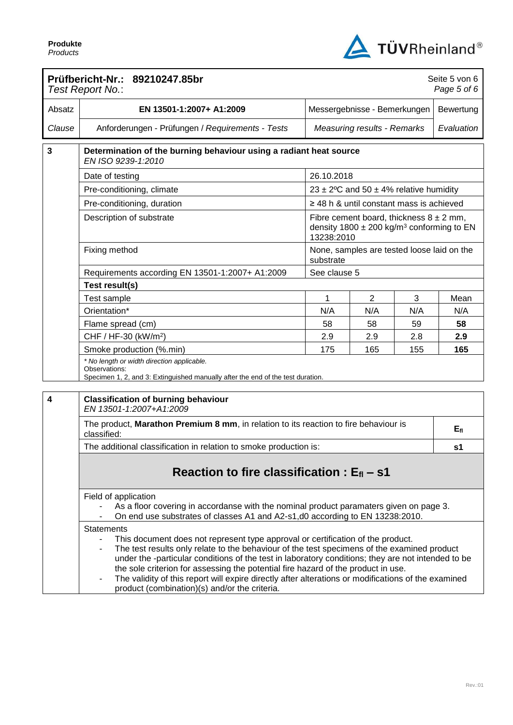

|                  | Prüfbericht-Nr.: 89210247.85br<br>Test Report No.:                                                                                                                                                                                                                                                                                                                                                                                                                                                                                                     |                                                                                                                                                                         |                                                        |     | Seite 5 von 6<br>Page 5 of 6 |
|------------------|--------------------------------------------------------------------------------------------------------------------------------------------------------------------------------------------------------------------------------------------------------------------------------------------------------------------------------------------------------------------------------------------------------------------------------------------------------------------------------------------------------------------------------------------------------|-------------------------------------------------------------------------------------------------------------------------------------------------------------------------|--------------------------------------------------------|-----|------------------------------|
| Absatz           | EN 13501-1:2007+ A1:2009<br>Messergebnisse - Bemerkungen                                                                                                                                                                                                                                                                                                                                                                                                                                                                                               |                                                                                                                                                                         |                                                        |     | Bewertung                    |
| Clause           | Anforderungen - Prüfungen / Requirements - Tests                                                                                                                                                                                                                                                                                                                                                                                                                                                                                                       | <b>Measuring results - Remarks</b>                                                                                                                                      |                                                        |     | Evaluation                   |
| $\mathbf{3}$     | Determination of the burning behaviour using a radiant heat source<br>EN ISO 9239-1:2010                                                                                                                                                                                                                                                                                                                                                                                                                                                               |                                                                                                                                                                         |                                                        |     |                              |
|                  | Date of testing                                                                                                                                                                                                                                                                                                                                                                                                                                                                                                                                        | 26.10.2018                                                                                                                                                              |                                                        |     |                              |
|                  | Pre-conditioning, climate                                                                                                                                                                                                                                                                                                                                                                                                                                                                                                                              |                                                                                                                                                                         | $23 \pm 2^{\circ}$ C and 50 $\pm$ 4% relative humidity |     |                              |
|                  | Pre-conditioning, duration                                                                                                                                                                                                                                                                                                                                                                                                                                                                                                                             |                                                                                                                                                                         |                                                        |     |                              |
|                  | Description of substrate                                                                                                                                                                                                                                                                                                                                                                                                                                                                                                                               | $\geq$ 48 h & until constant mass is achieved<br>Fibre cement board, thickness $8 \pm 2$ mm,<br>density 1800 $\pm$ 200 kg/m <sup>3</sup> conforming to EN<br>13238:2010 |                                                        |     |                              |
|                  | Fixing method                                                                                                                                                                                                                                                                                                                                                                                                                                                                                                                                          | substrate                                                                                                                                                               | None, samples are tested loose laid on the             |     |                              |
|                  | Requirements according EN 13501-1:2007+ A1:2009                                                                                                                                                                                                                                                                                                                                                                                                                                                                                                        | See clause 5                                                                                                                                                            |                                                        |     |                              |
|                  | Test result(s)                                                                                                                                                                                                                                                                                                                                                                                                                                                                                                                                         |                                                                                                                                                                         |                                                        |     |                              |
|                  | Test sample                                                                                                                                                                                                                                                                                                                                                                                                                                                                                                                                            | 1                                                                                                                                                                       | $\overline{2}$                                         | 3   | Mean                         |
|                  | Orientation*                                                                                                                                                                                                                                                                                                                                                                                                                                                                                                                                           | N/A                                                                                                                                                                     | N/A                                                    | N/A | N/A                          |
|                  | 58<br>58<br>Flame spread (cm)                                                                                                                                                                                                                                                                                                                                                                                                                                                                                                                          |                                                                                                                                                                         |                                                        | 59  | 58                           |
|                  | CHF / HF-30 (kW/m <sup>2</sup> )                                                                                                                                                                                                                                                                                                                                                                                                                                                                                                                       | 2.9<br>2.9<br>2.8                                                                                                                                                       |                                                        | 2.9 |                              |
|                  | Smoke production (%.min)                                                                                                                                                                                                                                                                                                                                                                                                                                                                                                                               | 175<br>165                                                                                                                                                              |                                                        | 155 | 165                          |
|                  | * No length or width direction applicable.<br>Observations:<br>Specimen 1, 2, and 3: Extinguished manually after the end of the test duration.                                                                                                                                                                                                                                                                                                                                                                                                         |                                                                                                                                                                         |                                                        |     |                              |
| $\boldsymbol{4}$ | <b>Classification of burning behaviour</b><br>EN 13501-1:2007+A1:2009                                                                                                                                                                                                                                                                                                                                                                                                                                                                                  |                                                                                                                                                                         |                                                        |     |                              |
|                  | The product, Marathon Premium 8 mm, in relation to its reaction to fire behaviour is<br>$E_{\rm fl}$<br>classified:                                                                                                                                                                                                                                                                                                                                                                                                                                    |                                                                                                                                                                         |                                                        |     |                              |
|                  | The additional classification in relation to smoke production is:<br>s1                                                                                                                                                                                                                                                                                                                                                                                                                                                                                |                                                                                                                                                                         |                                                        |     |                              |
|                  | Reaction to fire classification : $E_{fl}$ – s1                                                                                                                                                                                                                                                                                                                                                                                                                                                                                                        |                                                                                                                                                                         |                                                        |     |                              |
|                  | Field of application<br>As a floor covering in accordanse with the nominal product paramaters given on page 3.<br>On end use substrates of classes A1 and A2-s1,d0 according to EN 13238:2010.                                                                                                                                                                                                                                                                                                                                                         |                                                                                                                                                                         |                                                        |     |                              |
|                  | <b>Statements</b><br>This document does not represent type approval or certification of the product.<br>The test results only relate to the behaviour of the test specimens of the examined product<br>under the -particular conditions of the test in laboratory conditions; they are not intended to be<br>the sole criterion for assessing the potential fire hazard of the product in use.<br>The validity of this report will expire directly after alterations or modifications of the examined<br>product (combination)(s) and/or the criteria. |                                                                                                                                                                         |                                                        |     |                              |